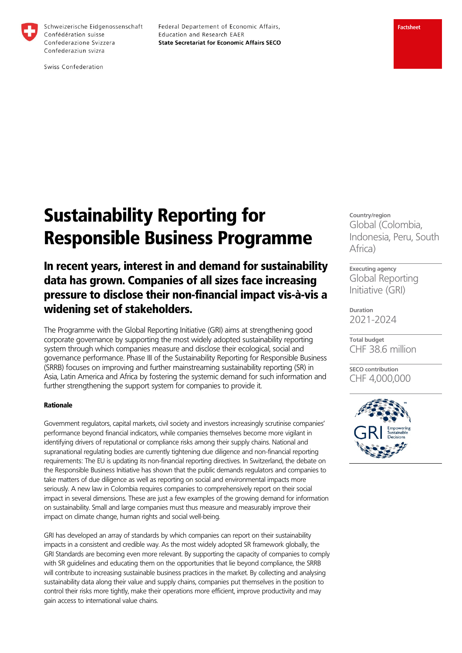

Schweizerische Eidgenossenschaft Confédération suisse Confederazione Svizzera Confederaziun svizra

Federal Departement of Economic Affairs, Education and Research EAER **State Secretariat for Economic Affairs SECO** 

Swiss Confederation

## **Factsheet**

# Sustainability Reporting for Responsible Business Programme

# In recent years, interest in and demand for sustainability data has grown. Companies of all sizes face increasing pressure to disclose their non-financial impact vis-à-vis a widening set of stakeholders.

The Programme with the Global Reporting Initiative (GRI) aims at strengthening good corporate governance by supporting the most widely adopted sustainability reporting system through which companies measure and disclose their ecological, social and governance performance. Phase III of the Sustainability Reporting for Responsible Business (SRRB) focuses on improving and further mainstreaming sustainability reporting (SR) in Asia, Latin America and Africa by fostering the systemic demand for such information and further strengthening the support system for companies to provide it.

#### Rationale

Government regulators, capital markets, civil society and investors increasingly scrutinise companies' performance beyond financial indicators, while companies themselves become more vigilant in identifying drivers of reputational or compliance risks among their supply chains. National and supranational regulating bodies are currently tightening due diligence and non-financial reporting requirements: The EU is updating its non-financial reporting directives. In Switzerland, the debate on the Responsible Business Initiative has shown that the public demands regulators and companies to take matters of due diligence as well as reporting on social and environmental impacts more seriously. A new law in Colombia requires companies to comprehensively report on their social impact in several dimensions. These are just a few examples of the growing demand for information on sustainability. Small and large companies must thus measure and measurably improve their impact on climate change, human rights and social well-being.

GRI has developed an array of standards by which companies can report on their sustainability impacts in a consistent and credible way. As the most widely adopted SR framework globally, the GRI Standards are becoming even more relevant. By supporting the capacity of companies to comply with SR guidelines and educating them on the opportunities that lie beyond compliance, the SRRB will contribute to increasing sustainable business practices in the market. By collecting and analysing sustainability data along their value and supply chains, companies put themselves in the position to control their risks more tightly, make their operations more efficient, improve productivity and may gain access to international value chains.

**Country/region**  Global (Colombia, Indonesia, Peru, South Africa)

**Executing agency**  Global Reporting Initiative (GRI)

**Duration**  2021-2024

**Total budget**  CHF 38.6 million

**SECO contribution**  CHF 4,000,000